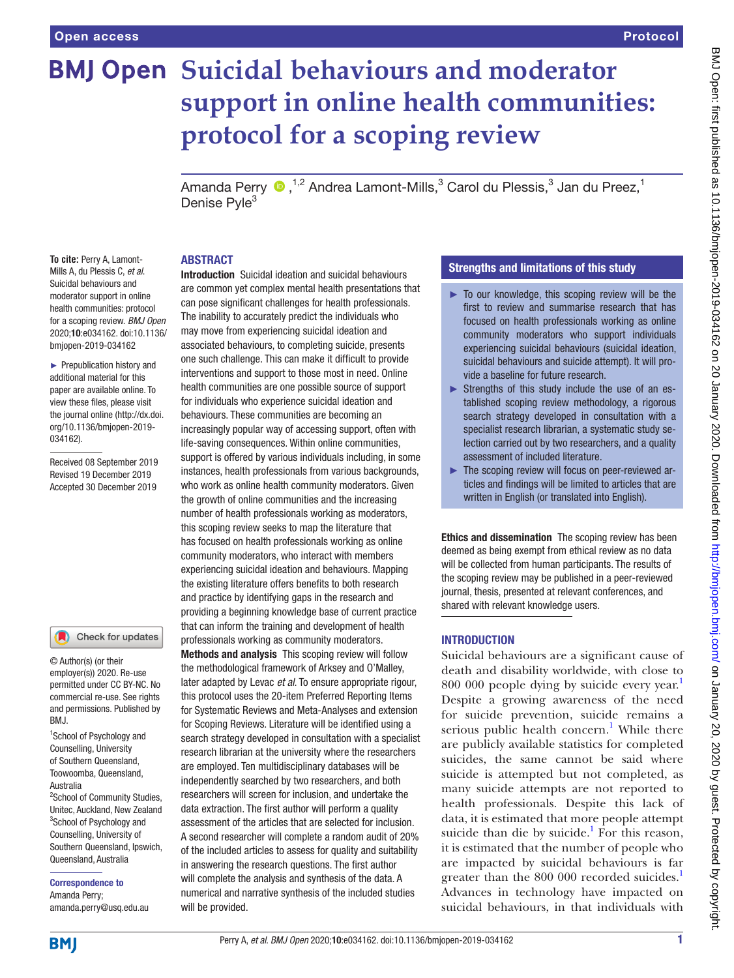# **BMJ Open Suicidal behaviours and moderator support in online health communities: protocol for a scoping review**

Amanda Perry  $\bigcirc$  ,<sup>1,2</sup> Andrea Lamont-Mills,<sup>3</sup> Carol du Plessis,<sup>3</sup> Jan du Preez,<sup>1</sup> Denise Pyle<sup>3</sup>

#### **ABSTRACT**

**To cite:** Perry A, Lamont-Mills A, du Plessis C, *et al*. Suicidal behaviours and moderator support in online health communities: protocol for a scoping review. *BMJ Open* 2020;10:e034162. doi:10.1136/ bmjopen-2019-034162

► Prepublication history and additional material for this paper are available online. To view these files, please visit the journal online (http://dx.doi. org/10.1136/bmjopen-2019- 034162).

Received 08 September 2019 Revised 19 December 2019 Accepted 30 December 2019

#### Check for updates

© Author(s) (or their employer(s)) 2020. Re-use permitted under CC BY-NC. No commercial re-use. See rights and permissions. Published by BMJ.

<sup>1</sup>School of Psychology and Counselling, University of Southern Queensland, Toowoomba, Queensland, Australia

<sup>2</sup>School of Community Studies, Unitec, Auckland, New Zealand <sup>3</sup>School of Psychology and Counselling, University of Southern Queensland, Ipswich, Queensland, Australia

Correspondence to Amanda Perry;

amanda.perry@usq.edu.au

will be provided.

Introduction Suicidal ideation and suicidal behaviours are common yet complex mental health presentations that can pose significant challenges for health professionals. The inability to accurately predict the individuals who may move from experiencing suicidal ideation and associated behaviours, to completing suicide, presents one such challenge. This can make it difficult to provide interventions and support to those most in need. Online health communities are one possible source of support for individuals who experience suicidal ideation and behaviours. These communities are becoming an increasingly popular way of accessing support, often with life-saving consequences. Within online communities, support is offered by various individuals including, in some instances, health professionals from various backgrounds, who work as online health community moderators. Given the growth of online communities and the increasing number of health professionals working as moderators, this scoping review seeks to map the literature that has focused on health professionals working as online community moderators, who interact with members experiencing suicidal ideation and behaviours. Mapping the existing literature offers benefits to both research and practice by identifying gaps in the research and providing a beginning knowledge base of current practice that can inform the training and development of health professionals working as community moderators. Methods and analysis This scoping review will follow the methodological framework of Arksey and O'Malley, later adapted by Levac *et al*. To ensure appropriate rigour, this protocol uses the 20-item Preferred Reporting Items for Systematic Reviews and Meta-Analyses and extension for Scoping Reviews. Literature will be identified using a search strategy developed in consultation with a specialist research librarian at the university where the researchers are employed. Ten multidisciplinary databases will be independently searched by two researchers, and both researchers will screen for inclusion, and undertake the data extraction. The first author will perform a quality assessment of the articles that are selected for inclusion. A second researcher will complete a random audit of 20% of the included articles to assess for quality and suitability in answering the research questions. The first author will complete the analysis and synthesis of the data. A numerical and narrative synthesis of the included studies

## Strengths and limitations of this study

- $\triangleright$  To our knowledge, this scoping review will be the first to review and summarise research that has focused on health professionals working as online community moderators who support individuals experiencing suicidal behaviours (suicidal ideation, suicidal behaviours and suicide attempt). It will provide a baseline for future research.
- ► Strengths of this study include the use of an established scoping review methodology, a rigorous search strategy developed in consultation with a specialist research librarian, a systematic study selection carried out by two researchers, and a quality assessment of included literature.
- ► The scoping review will focus on peer-reviewed articles and findings will be limited to articles that are written in English (or translated into English).

Ethics and dissemination The scoping review has been deemed as being exempt from ethical review as no data will be collected from human participants. The results of the scoping review may be published in a peer-reviewed journal, thesis, presented at relevant conferences, and shared with relevant knowledge users.

## **INTRODUCTION**

Suicidal behaviours are a significant cause of death and disability worldwide, with close to 800 000 people dying by suicide every year. [1](#page-6-0) Despite a growing awareness of the need for suicide prevention, suicide remains a serious public health concern.<sup>1</sup> While there are publicly available statistics for completed suicides, the same cannot be said where suicide is attempted but not completed, as many suicide attempts are not reported to health professionals. Despite this lack of data, it is estimated that more people attempt suicide than die by suicide.<sup>[1](#page-6-0)</sup> For this reason, it is estimated that the number of people who are impacted by suicidal behaviours is far greater than the 800 000 recorded suicides.<sup>1</sup> Advances in technology have impacted on suicidal behaviours, in that individuals with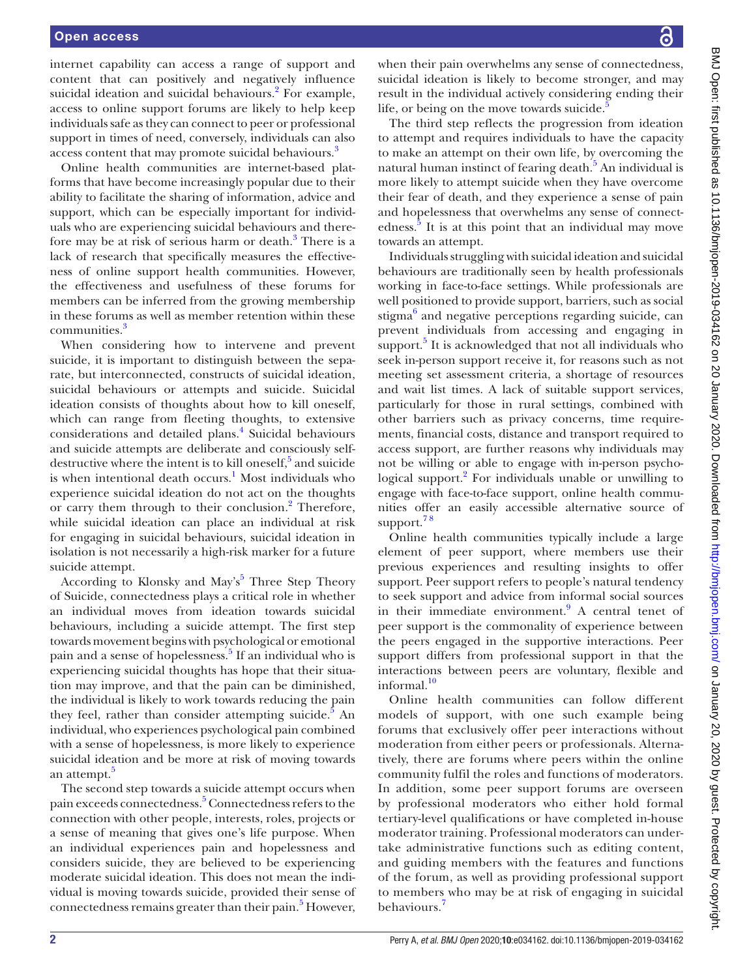internet capability can access a range of support and content that can positively and negatively influence suicidal ideation and suicidal behaviours.<sup>2</sup> For example, access to online support forums are likely to help keep individuals safe as they can connect to peer or professional support in times of need, conversely, individuals can also access content that may promote suicidal behaviours.<sup>3</sup>

Online health communities are internet-based platforms that have become increasingly popular due to their ability to facilitate the sharing of information, advice and support, which can be especially important for individuals who are experiencing suicidal behaviours and there-fore may be at risk of serious harm or death.<sup>[3](#page-7-0)</sup> There is a lack of research that specifically measures the effectiveness of online support health communities. However, the effectiveness and usefulness of these forums for members can be inferred from the growing membership in these forums as well as member retention within these communities.<sup>[3](#page-7-0)</sup>

When considering how to intervene and prevent suicide, it is important to distinguish between the separate, but interconnected, constructs of suicidal ideation, suicidal behaviours or attempts and suicide. Suicidal ideation consists of thoughts about how to kill oneself, which can range from fleeting thoughts, to extensive considerations and detailed plans.<sup>4</sup> Suicidal behaviours and suicide attempts are deliberate and consciously selfdestructive where the intent is to kill oneself,<sup>5</sup> and suicide is when intentional death occurs.<sup>[1](#page-6-0)</sup> Most individuals who experience suicidal ideation do not act on the thoughts or carry them through to their conclusion.<sup>2</sup> Therefore, while suicidal ideation can place an individual at risk for engaging in suicidal behaviours, suicidal ideation in isolation is not necessarily a high-risk marker for a future suicide attempt.

According to Klonsky and May's<sup>[5](#page-7-2)</sup> Three Step Theory of Suicide, connectedness plays a critical role in whether an individual moves from ideation towards suicidal behaviours, including a suicide attempt. The first step towards movement begins with psychological or emotional pain and a sense of hopelessness.<sup>[5](#page-7-2)</sup> If an individual who is experiencing suicidal thoughts has hope that their situation may improve, and that the pain can be diminished, the individual is likely to work towards reducing the pain they feel, rather than consider attempting suicide.<sup>[5](#page-7-2)</sup> An individual, who experiences psychological pain combined with a sense of hopelessness, is more likely to experience suicidal ideation and be more at risk of moving towards an attempt.<sup>5</sup>

The second step towards a suicide attempt occurs when pain exceeds connectedness.<sup>5</sup> Connectedness refers to the connection with other people, interests, roles, projects or a sense of meaning that gives one's life purpose. When an individual experiences pain and hopelessness and considers suicide, they are believed to be experiencing moderate suicidal ideation. This does not mean the individual is moving towards suicide, provided their sense of connectedness remains greater than their pain.<sup>[5](#page-7-2)</sup> However,

BMJ Open: first published as 10.1136/bmijopen-2019-034162 on 20 January 2020. Downloaded from http://bmjopen.bmj.com/ on January 20, 2020 by guest. Protected by copyright BMJ Open: first published as 10.1136/bmjopen-2019-034162 on 20 January 2020. Downloaded from <http://bmjopen.bmj.com/> on January 20, 2020 by guest. Protected by copyright.

when their pain overwhelms any sense of connectedness, suicidal ideation is likely to become stronger, and may result in the individual actively considering ending their life, or being on the move towards suicide. $5$ 

The third step reflects the progression from ideation to attempt and requires individuals to have the capacity to make an attempt on their own life, by overcoming the natural human instinct of fearing death.<sup>5</sup> An individual is more likely to attempt suicide when they have overcome their fear of death, and they experience a sense of pain and hopelessness that overwhelms any sense of connectedness. $5$  It is at this point that an individual may move towards an attempt.

Individuals struggling with suicidal ideation and suicidal behaviours are traditionally seen by health professionals working in face-to-face settings. While professionals are well positioned to provide support, barriers, such as social stigma<sup>[6](#page-7-3)</sup> and negative perceptions regarding suicide, can prevent individuals from accessing and engaging in support.<sup>[5](#page-7-2)</sup> It is acknowledged that not all individuals who seek in-person support receive it, for reasons such as not meeting set assessment criteria, a shortage of resources and wait list times. A lack of suitable support services, particularly for those in rural settings, combined with other barriers such as privacy concerns, time requirements, financial costs, distance and transport required to access support, are further reasons why individuals may not be willing or able to engage with in-person psycho-logical support.<sup>[2](#page-6-1)</sup> For individuals unable or unwilling to engage with face-to-face support, online health communities offer an easily accessible alternative source of support[.7 8](#page-7-4)

Online health communities typically include a large element of peer support, where members use their previous experiences and resulting insights to offer support. Peer support refers to people's natural tendency to seek support and advice from informal social sources in their immediate environment.<sup>[9](#page-7-5)</sup> A central tenet of peer support is the commonality of experience between the peers engaged in the supportive interactions. Peer support differs from professional support in that the interactions between peers are voluntary, flexible and informal. $10$ 

Online health communities can follow different models of support, with one such example being forums that exclusively offer peer interactions without moderation from either peers or professionals. Alternatively, there are forums where peers within the online community fulfil the roles and functions of moderators. In addition, some peer support forums are overseen by professional moderators who either hold formal tertiary-level qualifications or have completed in-house moderator training. Professional moderators can undertake administrative functions such as editing content, and guiding members with the features and functions of the forum, as well as providing professional support to members who may be at risk of engaging in suicidal behaviours.[7](#page-7-4)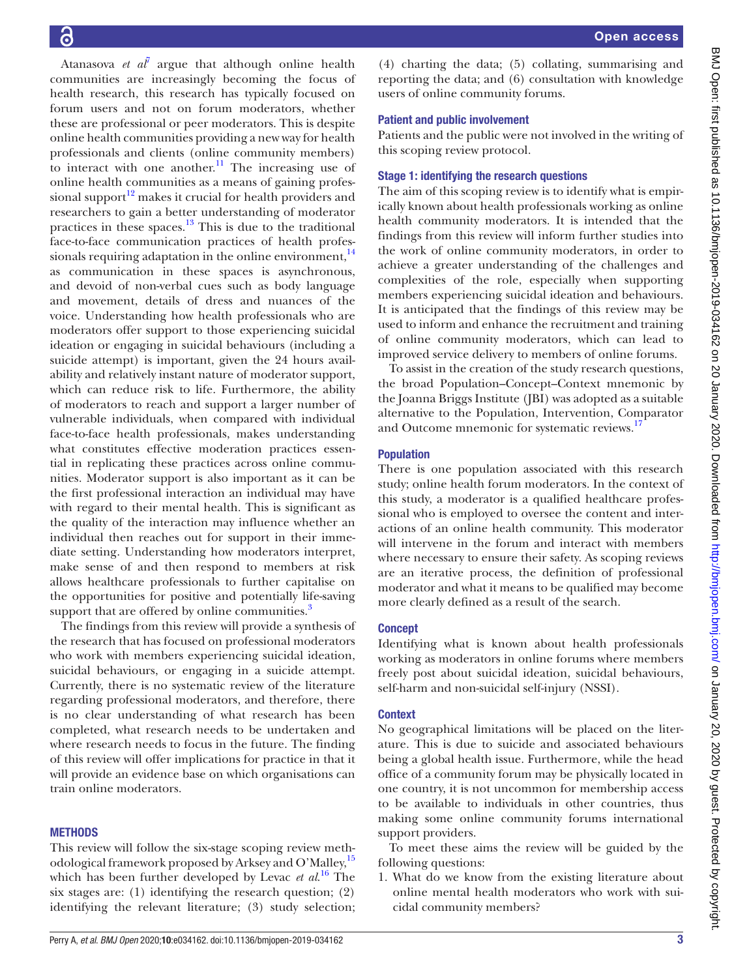Atanasova *et al*<sup>[7](#page-7-4)</sup> argue that although online health communities are increasingly becoming the focus of health research, this research has typically focused on forum users and not on forum moderators, whether these are professional or peer moderators. This is despite online health communities providing a new way for health professionals and clients (online community members) to interact with one another.<sup>11</sup> The increasing use of online health communities as a means of gaining professional support $12$  makes it crucial for health providers and researchers to gain a better understanding of moderator practices in these spaces. $13$  This is due to the traditional face-to-face communication practices of health professionals requiring adaptation in the online environment, $^{14}$ as communication in these spaces is asynchronous, and devoid of non-verbal cues such as body language and movement, details of dress and nuances of the voice. Understanding how health professionals who are moderators offer support to those experiencing suicidal ideation or engaging in suicidal behaviours (including a suicide attempt) is important, given the 24 hours availability and relatively instant nature of moderator support, which can reduce risk to life. Furthermore, the ability of moderators to reach and support a larger number of vulnerable individuals, when compared with individual face-to-face health professionals, makes understanding what constitutes effective moderation practices essential in replicating these practices across online communities. Moderator support is also important as it can be the first professional interaction an individual may have with regard to their mental health. This is significant as the quality of the interaction may influence whether an individual then reaches out for support in their immediate setting. Understanding how moderators interpret, make sense of and then respond to members at risk allows healthcare professionals to further capitalise on the opportunities for positive and potentially life-saving support that are offered by online communities. $3$ 

The findings from this review will provide a synthesis of the research that has focused on professional moderators who work with members experiencing suicidal ideation, suicidal behaviours, or engaging in a suicide attempt. Currently, there is no systematic review of the literature regarding professional moderators, and therefore, there is no clear understanding of what research has been completed, what research needs to be undertaken and where research needs to focus in the future. The finding of this review will offer implications for practice in that it will provide an evidence base on which organisations can train online moderators.

#### **METHODS**

This review will follow the six-stage scoping review methodological framework proposed by Arksey and O'Malley,[15](#page-7-11) which has been further developed by Levac *et al*. [16](#page-7-12) The six stages are: (1) identifying the research question; (2) identifying the relevant literature; (3) study selection;

(4) charting the data; (5) collating, summarising and reporting the data; and (6) consultation with knowledge users of online community forums.

## Patient and public involvement

Patients and the public were not involved in the writing of this scoping review protocol.

### Stage 1: identifying the research questions

The aim of this scoping review is to identify what is empirically known about health professionals working as online health community moderators. It is intended that the findings from this review will inform further studies into the work of online community moderators, in order to achieve a greater understanding of the challenges and complexities of the role, especially when supporting members experiencing suicidal ideation and behaviours. It is anticipated that the findings of this review may be used to inform and enhance the recruitment and training of online community moderators, which can lead to improved service delivery to members of online forums.

To assist in the creation of the study research questions, the broad Population–Concept–Context mnemonic by the Joanna Briggs Institute (JBI) was adopted as a suitable alternative to the Population, Intervention, Comparator and Outcome mnemonic for systematic reviews.<sup>[17](#page-7-13)</sup>

## Population

There is one population associated with this research study; online health forum moderators. In the context of this study, a moderator is a qualified healthcare professional who is employed to oversee the content and interactions of an online health community. This moderator will intervene in the forum and interact with members where necessary to ensure their safety. As scoping reviews are an iterative process, the definition of professional moderator and what it means to be qualified may become more clearly defined as a result of the search.

### **Concept**

Identifying what is known about health professionals working as moderators in online forums where members freely post about suicidal ideation, suicidal behaviours, self-harm and non-suicidal self-injury (NSSI).

## **Context**

No geographical limitations will be placed on the literature. This is due to suicide and associated behaviours being a global health issue. Furthermore, while the head office of a community forum may be physically located in one country, it is not uncommon for membership access to be available to individuals in other countries, thus making some online community forums international support providers.

To meet these aims the review will be guided by the following questions:

1. What do we know from the existing literature about online mental health moderators who work with suicidal community members?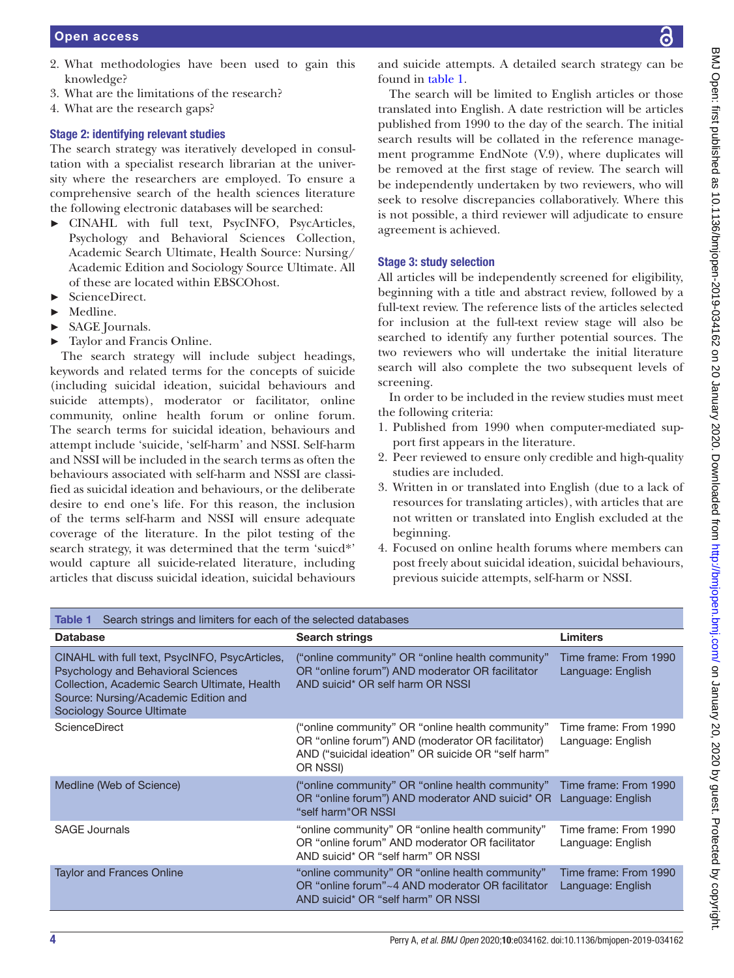- 2. What methodologies have been used to gain this knowledge?
- 3. What are the limitations of the research?
- 4. What are the research gaps?

## Stage 2: identifying relevant studies

The search strategy was iteratively developed in consultation with a specialist research librarian at the university where the researchers are employed. To ensure a comprehensive search of the health sciences literature the following electronic databases will be searched:

- ► CINAHL with full text, PsycINFO, PsycArticles, Psychology and Behavioral Sciences Collection, Academic Search Ultimate, Health Source: Nursing/ Academic Edition and Sociology Source Ultimate. All of these are located within EBSCOhost.
- ► ScienceDirect.
- ► Medline.
- ► SAGE Journals.
- ► Taylor and Francis Online.

The search strategy will include subject headings, keywords and related terms for the concepts of suicide (including suicidal ideation, suicidal behaviours and suicide attempts), moderator or facilitator, online community, online health forum or online forum. The search terms for suicidal ideation, behaviours and attempt include 'suicide, 'self-harm' and NSSI. Self-harm and NSSI will be included in the search terms as often the behaviours associated with self-harm and NSSI are classified as suicidal ideation and behaviours, or the deliberate desire to end one's life. For this reason, the inclusion of the terms self-harm and NSSI will ensure adequate coverage of the literature. In the pilot testing of the search strategy, it was determined that the term 'suicd\*' would capture all suicide-related literature, including articles that discuss suicidal ideation, suicidal behaviours

and suicide attempts. A detailed search strategy can be found in [table](#page-3-0) 1.

The search will be limited to English articles or those translated into English. A date restriction will be articles published from 1990 to the day of the search. The initial search results will be collated in the reference management programme EndNote (V.9), where duplicates will be removed at the first stage of review. The search will be independently undertaken by two reviewers, who will seek to resolve discrepancies collaboratively. Where this is not possible, a third reviewer will adjudicate to ensure agreement is achieved.

## Stage 3: study selection

All articles will be independently screened for eligibility, beginning with a title and abstract review, followed by a full-text review. The reference lists of the articles selected for inclusion at the full-text review stage will also be searched to identify any further potential sources. The two reviewers who will undertake the initial literature search will also complete the two subsequent levels of screening.

In order to be included in the review studies must meet the following criteria:

- 1. Published from 1990 when computer-mediated support first appears in the literature.
- 2. Peer reviewed to ensure only credible and high-quality studies are included.
- 3. Written in or translated into English (due to a lack of resources for translating articles), with articles that are not written or translated into English excluded at the beginning.
- 4. Focused on online health forums where members can post freely about suicidal ideation, suicidal behaviours, previous suicide attempts, self-harm or NSSI.

<span id="page-3-0"></span>

| <b>Table 1</b> Search strings and limiters for each of the selected databases                                                                                                                             |                                                                                                                                                                        |                                            |
|-----------------------------------------------------------------------------------------------------------------------------------------------------------------------------------------------------------|------------------------------------------------------------------------------------------------------------------------------------------------------------------------|--------------------------------------------|
| <b>Database</b>                                                                                                                                                                                           | Search strings                                                                                                                                                         | Limiters                                   |
| CINAHL with full text, PsycINFO, PsycArticles,<br>Psychology and Behavioral Sciences<br>Collection, Academic Search Ultimate, Health<br>Source: Nursing/Academic Edition and<br>Sociology Source Ultimate | ("online community" OR "online health community"<br>OR "online forum") AND moderator OR facilitator<br>AND suicid* OR self harm OR NSSI                                | Time frame: From 1990<br>Language: English |
| <b>ScienceDirect</b>                                                                                                                                                                                      | "online community" OR "online health community"<br>OR "online forum") AND (moderator OR facilitator)<br>AND ("suicidal ideation" OR suicide OR "self harm"<br>OR NSSI) | Time frame: From 1990<br>Language: English |
| Medline (Web of Science)                                                                                                                                                                                  | ("online community" OR "online health community"<br>OR "online forum") AND moderator AND suicid* OR<br>"self harm"OR NSSI                                              | Time frame: From 1990<br>Language: English |
| <b>SAGE Journals</b>                                                                                                                                                                                      | "online community" OR "online health community"<br>OR "online forum" AND moderator OR facilitator<br>AND suicid* OR "self harm" OR NSSI                                | Time frame: From 1990<br>Language: English |
| <b>Taylor and Frances Online</b>                                                                                                                                                                          | "online community" OR "online health community"<br>OR "online forum"~4 AND moderator OR facilitator<br>AND suicid* OR "self harm" OR NSSI                              | Time frame: From 1990<br>Language: English |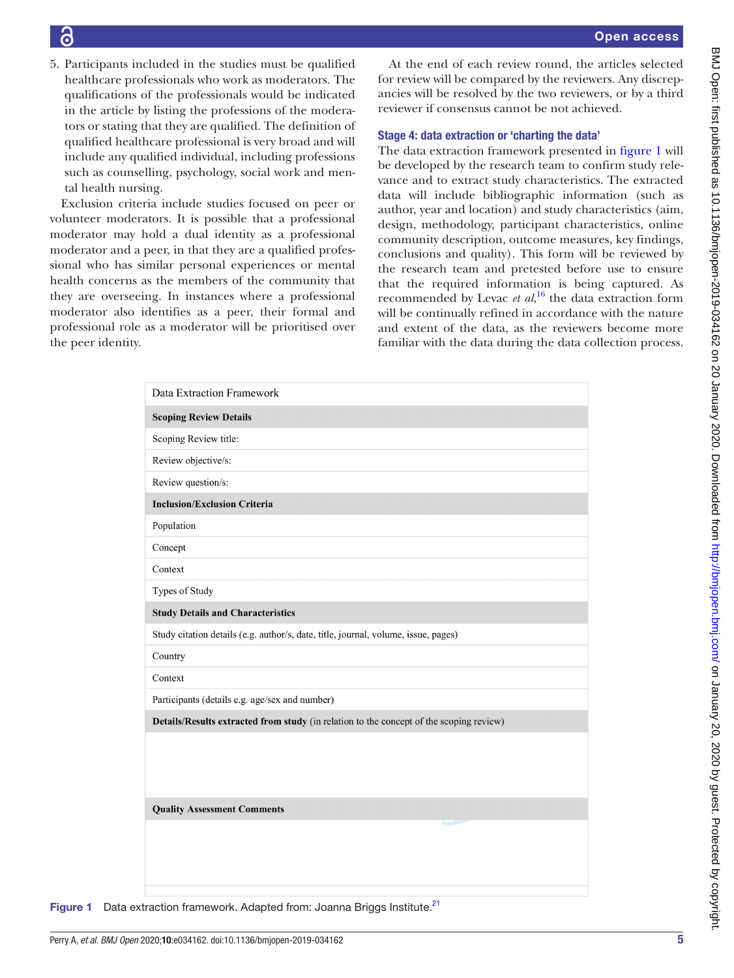5. Participants included in the studies must be qualified healthcare professionals who work as moderators. The qualifications of the professionals would be indicated in the article by listing the professions of the moderators or stating that they are qualified. The definition of qualified healthcare professional is very broad and will include any qualified individual, including professions such as counselling, psychology, social work and mental health nursing.

Exclusion criteria include studies focused on peer or volunteer moderators. It is possible that a professional moderator may hold a dual identity as a professional moderator and a peer, in that they are a qualified professional who has similar personal experiences or mental health concerns as the members of the community that they are overseeing. In instances where a professional moderator also identifies as a peer, their formal and professional role as a moderator will be prioritised over the peer identity.

At the end of each review round, the articles selected for review will be compared by the reviewers. Any discrepancies will be resolved by the two reviewers, or by a third reviewer if consensus cannot be not achieved.

#### Stage 4: data extraction or 'charting the data'

The data extraction framework presented in [figure](#page-4-0) 1 will be developed by the research team to confirm study relevance and to extract study characteristics. The extracted data will include bibliographic information (such as author, year and location) and study characteristics (aim, design, methodology, participant characteristics, online community description, outcome measures, key findings, conclusions and quality). This form will be reviewed by the research team and pretested before use to ensure that the required information is being captured. As recommended by Levac *et al*,<sup>[16](#page-7-12)</sup> the data extraction form will be continually refined in accordance with the nature and extent of the data, as the reviewers become more familiar with the data during the data collection process.

| Data Extraction Framework                                                               |  |  |
|-----------------------------------------------------------------------------------------|--|--|
| <b>Scoping Review Details</b>                                                           |  |  |
| Scoping Review title:                                                                   |  |  |
| Review objective/s:                                                                     |  |  |
| Review question/s:                                                                      |  |  |
| <b>Inclusion/Exclusion Criteria</b>                                                     |  |  |
| Population                                                                              |  |  |
| Concept                                                                                 |  |  |
| Context                                                                                 |  |  |
| Types of Study                                                                          |  |  |
| <b>Study Details and Characteristics</b>                                                |  |  |
| Study citation details (e.g. author/s, date, title, journal, volume, issue, pages)      |  |  |
| Country                                                                                 |  |  |
| Context                                                                                 |  |  |
| Participants (details e.g. age/sex and number)                                          |  |  |
| Details/Results extracted from study (in relation to the concept of the scoping review) |  |  |
|                                                                                         |  |  |
|                                                                                         |  |  |
|                                                                                         |  |  |
| <b>Quality Assessment Comments</b>                                                      |  |  |
|                                                                                         |  |  |
|                                                                                         |  |  |
|                                                                                         |  |  |

<span id="page-4-0"></span>Figure 1 Data extraction framework. Adapted from: Joanna Briggs Institute.<sup>[21](#page-7-14)</sup>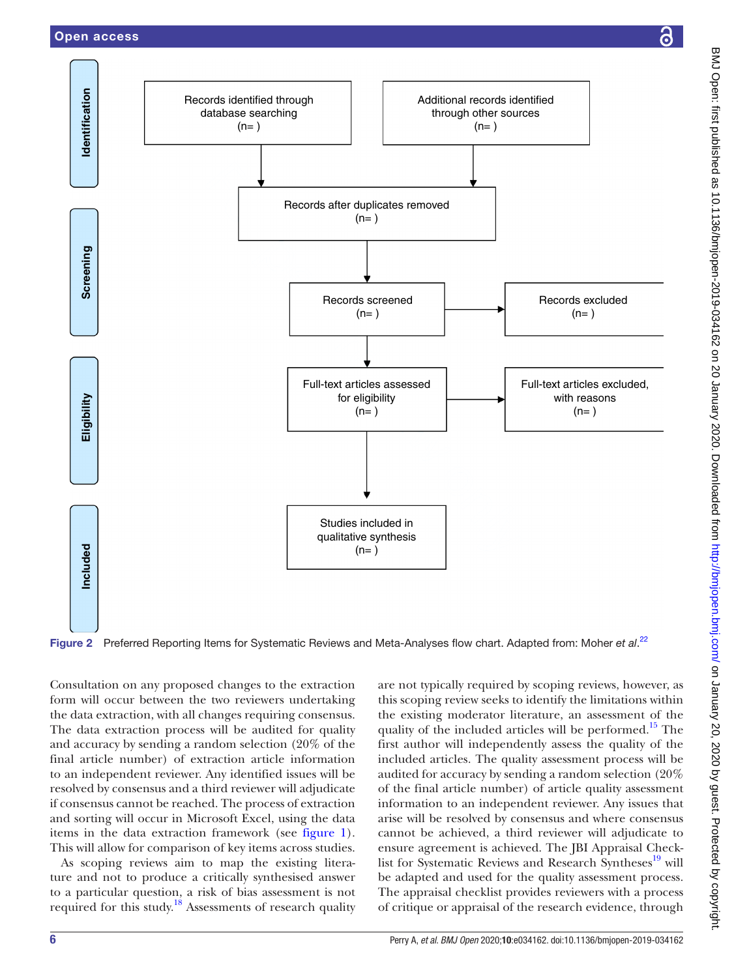#### Open access

BMJ Open: first published as 10.1136/bmjopen-2019-034162 on 20 January 2020. Downloaded from <http://bmjopen.bmj.com/> on January 20, 2020 by guest. Protected by copyright.

BMJ Open: first published as 10.1136/bmijopen-2019-034162 on 20 January 2020. Downloaded from http://bmjopen.bmj.com/ on January 20, 2020 by guest. Protected by copyright



<span id="page-5-0"></span>Figure 2 Preferred Reporting Items for Systematic Reviews and Meta-Analyses flow chart. Adapted from: Moher et al.<sup>[22](#page-7-15)</sup>

Consultation on any proposed changes to the extraction form will occur between the two reviewers undertaking the data extraction, with all changes requiring consensus. The data extraction process will be audited for quality and accuracy by sending a random selection (20% of the final article number) of extraction article information to an independent reviewer. Any identified issues will be resolved by consensus and a third reviewer will adjudicate if consensus cannot be reached. The process of extraction and sorting will occur in Microsoft Excel, using the data items in the data extraction framework (see [figure](#page-4-0) 1). This will allow for comparison of key items across studies.

As scoping reviews aim to map the existing literature and not to produce a critically synthesised answer to a particular question, a risk of bias assessment is not required for this study.<sup>[18](#page-7-16)</sup> Assessments of research quality are not typically required by scoping reviews, however, as this scoping review seeks to identify the limitations within the existing moderator literature, an assessment of the quality of the included articles will be performed.<sup>15</sup> The first author will independently assess the quality of the included articles. The quality assessment process will be audited for accuracy by sending a random selection (20% of the final article number) of article quality assessment information to an independent reviewer. Any issues that arise will be resolved by consensus and where consensus cannot be achieved, a third reviewer will adjudicate to ensure agreement is achieved. The JBI Appraisal Checklist for Systematic Reviews and Research Syntheses<sup>19</sup> will be adapted and used for the quality assessment process. The appraisal checklist provides reviewers with a process of critique or appraisal of the research evidence, through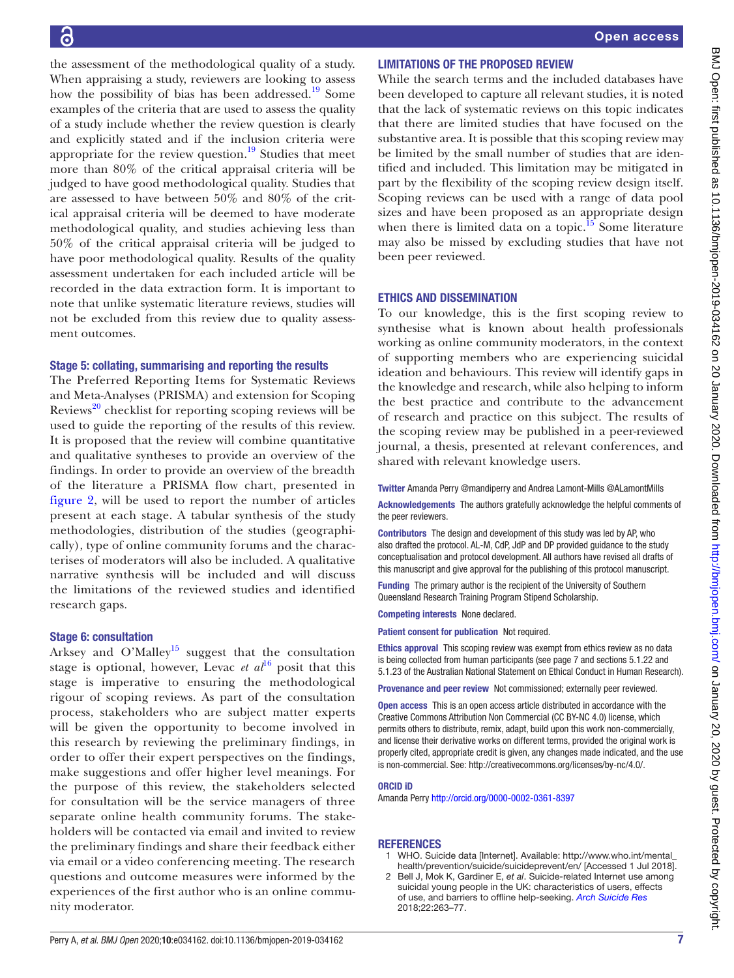the assessment of the methodological quality of a study. When appraising a study, reviewers are looking to assess how the possibility of bias has been addressed.<sup>19</sup> Some examples of the criteria that are used to assess the quality of a study include whether the review question is clearly and explicitly stated and if the inclusion criteria were appropriate for the review question. $19$  Studies that meet more than 80% of the critical appraisal criteria will be judged to have good methodological quality. Studies that are assessed to have between 50% and 80% of the critical appraisal criteria will be deemed to have moderate methodological quality, and studies achieving less than 50% of the critical appraisal criteria will be judged to have poor methodological quality. Results of the quality assessment undertaken for each included article will be recorded in the data extraction form. It is important to note that unlike systematic literature reviews, studies will not be excluded from this review due to quality assessment outcomes.

## Stage 5: collating, summarising and reporting the results

The Preferred Reporting Items for Systematic Reviews and Meta-Analyses (PRISMA) and extension for Scoping Reviews<sup>20</sup> checklist for reporting scoping reviews will be used to guide the reporting of the results of this review. It is proposed that the review will combine quantitative and qualitative syntheses to provide an overview of the findings. In order to provide an overview of the breadth of the literature a PRISMA flow chart, presented in [figure](#page-5-0) 2, will be used to report the number of articles present at each stage. A tabular synthesis of the study methodologies, distribution of the studies (geographically), type of online community forums and the characterises of moderators will also be included. A qualitative narrative synthesis will be included and will discuss the limitations of the reviewed studies and identified research gaps.

## Stage 6: consultation

Arksey and O'Malley<sup>15</sup> suggest that the consultation stage is optional, however, Levac *et al*<sup>16</sup> posit that this stage is imperative to ensuring the methodological rigour of scoping reviews. As part of the consultation process, stakeholders who are subject matter experts will be given the opportunity to become involved in this research by reviewing the preliminary findings, in order to offer their expert perspectives on the findings, make suggestions and offer higher level meanings. For the purpose of this review, the stakeholders selected for consultation will be the service managers of three separate online health community forums. The stakeholders will be contacted via email and invited to review the preliminary findings and share their feedback either via email or a video conferencing meeting. The research questions and outcome measures were informed by the experiences of the first author who is an online community moderator.

## Limitations of the proposed review

While the search terms and the included databases have been developed to capture all relevant studies, it is noted that the lack of systematic reviews on this topic indicates that there are limited studies that have focused on the substantive area. It is possible that this scoping review may be limited by the small number of studies that are identified and included. This limitation may be mitigated in part by the flexibility of the scoping review design itself. Scoping reviews can be used with a range of data pool sizes and have been proposed as an appropriate design when there is limited data on a topic.<sup>15</sup> Some literature may also be missed by excluding studies that have not been peer reviewed.

## Ethics and dissemination

To our knowledge, this is the first scoping review to synthesise what is known about health professionals working as online community moderators, in the context of supporting members who are experiencing suicidal ideation and behaviours. This review will identify gaps in the knowledge and research, while also helping to inform the best practice and contribute to the advancement of research and practice on this subject. The results of the scoping review may be published in a peer-reviewed journal, a thesis, presented at relevant conferences, and shared with relevant knowledge users.

Twitter Amanda Perry [@mandiperry](https://twitter.com/mandiperry) and Andrea Lamont-Mills [@ALamontMills](https://twitter.com/ALamontMills)

Acknowledgements The authors gratefully acknowledge the helpful comments of the peer reviewers.

Contributors The design and development of this study was led by AP, who also drafted the protocol. AL-M, CdP, JdP and DP provided guidance to the study conceptualisation and protocol development. All authors have revised all drafts of this manuscript and give approval for the publishing of this protocol manuscript.

Funding The primary author is the recipient of the University of Southern Queensland Research Training Program Stipend Scholarship.

Competing interests None declared.

Patient consent for publication Not required.

Ethics approval This scoping review was exempt from ethics review as no data is being collected from human participants (see page 7 and sections 5.1.22 and 5.1.23 of the Australian National Statement on Ethical Conduct in Human Research).

Provenance and peer review Not commissioned; externally peer reviewed.

Open access This is an open access article distributed in accordance with the Creative Commons Attribution Non Commercial (CC BY-NC 4.0) license, which permits others to distribute, remix, adapt, build upon this work non-commercially, and license their derivative works on different terms, provided the original work is properly cited, appropriate credit is given, any changes made indicated, and the use is non-commercial. See: [http://creativecommons.org/licenses/by-nc/4.0/.](http://creativecommons.org/licenses/by-nc/4.0/)

#### ORCID iD

Amanda Perry<http://orcid.org/0000-0002-0361-8397>

#### **REFERENCES**

- <span id="page-6-0"></span>WHO. Suicide data [Internet]. Available: [http://www.who.int/mental\\_](http://www.who.int/mental_health/prevention/suicide/suicideprevent/en/) [health/prevention/suicide/suicideprevent/en/](http://www.who.int/mental_health/prevention/suicide/suicideprevent/en/) [Accessed 1 Jul 2018].
- <span id="page-6-1"></span>2 Bell J, Mok K, Gardiner E, *et al*. Suicide-related Internet use among suicidal young people in the UK: characteristics of users, effects of use, and barriers to offline help-seeking. *[Arch Suicide Res](http://dx.doi.org/10.1080/13811118.2017.1334609)* 2018;22:263–77.